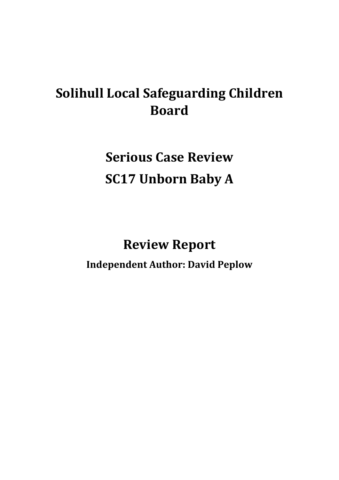# **Solihull Local Safeguarding Children Board**

**Serious Case Review SC17 Unborn Baby A**

**Review Report Independent Author: David Peplow**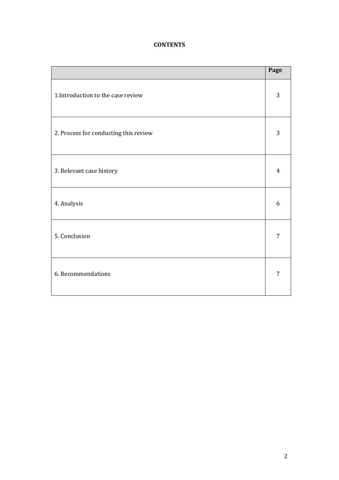## **CONTENTS**

|                                       | Page           |
|---------------------------------------|----------------|
| 1. Introduction to the case review    | 3              |
| 2. Process for conducting this review | 3              |
| 3. Relevant case history              | 4              |
| 4. Analysis                           | 6              |
| 5. Conclusion                         | 7              |
| 6. Recommendations                    | $\overline{7}$ |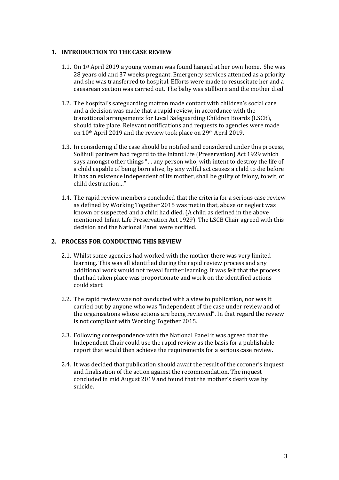## **1. INTRODUCTION TO THE CASE REVIEW**

- 1.1. On 1st April 2019 a young woman was found hanged at her own home. She was 28 years old and 37 weeks pregnant. Emergency services attended as a priority and she was transferred to hospital. Efforts were made to resuscitate her and a caesarean section was carried out. The baby was stillborn and the mother died.
- 1.2. The hospital's safeguarding matron made contact with children's social care and a decision was made that a rapid review, in accordance with the transitional arrangements for Local Safeguarding Children Boards (LSCB), should take place. Relevant notifications and requests to agencies were made on 10th April 2019 and the review took place on 29th April 2019.
- 1.3. In considering if the case should be notified and considered under this process, Solihull partners had regard to the Infant Life (Preservation) Act 1929 which says amongst other things "… any person who, with intent to destroy the life of a child capable of being born alive, by any wilful act causes a child to die before it has an existence independent of its mother, shall be guilty of felony, to wit, of child destruction…"
- 1.4. The rapid review members concluded that the criteria for a serious case review as defined by Working Together 2015 was met in that, abuse or neglect was known or suspected and a child had died. (A child as defined in the above mentioned Infant Life Preservation Act 1929). The LSCB Chair agreed with this decision and the National Panel were notified.

## **2. PROCESS FOR CONDUCTING THIS REVIEW**

- 2.1. Whilst some agencies had worked with the mother there was very limited learning. This was all identified during the rapid review process and any additional work would not reveal further learning. It was felt that the process that had taken place was proportionate and work on the identified actions could start.
- 2.2. The rapid review was not conducted with a view to publication, nor was it carried out by anyone who was "independent of the case under review and of the organisations whose actions are being reviewed". In that regard the review is not compliant with Working Together 2015.
- 2.3. Following correspondence with the National Panel it was agreed that the Independent Chair could use the rapid review as the basis for a publishable report that would then achieve the requirements for a serious case review.
- 2.4. It was decided that publication should await the result of the coroner's inquest and finalisation of the action against the recommendation. The inquest concluded in mid August 2019 and found that the mother's death was by suicide.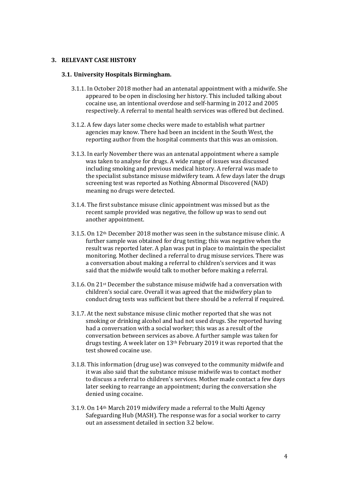#### **3. RELEVANT CASE HISTORY**

#### **3.1. University Hospitals Birmingham.**

- 3.1.1. In October 2018 mother had an antenatal appointment with a midwife. She appeared to be open in disclosing her history. This included talking about cocaine use, an intentional overdose and self-harming in 2012 and 2005 respectively. A referral to mental health services was offered but declined.
- 3.1.2. A few days later some checks were made to establish what partner agencies may know. There had been an incident in the South West, the reporting author from the hospital comments that this was an omission.
- 3.1.3. In early November there was an antenatal appointment where a sample was taken to analyse for drugs. A wide range of issues was discussed including smoking and previous medical history. A referral was made to the specialist substance misuse midwifery team. A few days later the drugs screening test was reported as Nothing Abnormal Discovered (NAD) meaning no drugs were detected.
- 3.1.4. The first substance misuse clinic appointment was missed but as the recent sample provided was negative, the follow up was to send out another appointment.
- 3.1.5. On 12th December 2018 mother was seen in the substance misuse clinic. A further sample was obtained for drug testing; this was negative when the result was reported later. A plan was put in place to maintain the specialist monitoring. Mother declined a referral to drug misuse services. There was a conversation about making a referral to children's services and it was said that the midwife would talk to mother before making a referral.
- 3.1.6. On 21st December the substance misuse midwife had a conversation with children's social care. Overall it was agreed that the midwifery plan to conduct drug tests was sufficient but there should be a referral if required.
- 3.1.7. At the next substance misuse clinic mother reported that she was not smoking or drinking alcohol and had not used drugs. She reported having had a conversation with a social worker; this was as a result of the conversation between services as above. A further sample was taken for drugs testing. A week later on 13th February 2019 it was reported that the test showed cocaine use.
- 3.1.8. This information (drug use) was conveyed to the community midwife and it was also said that the substance misuse midwife was to contact mother to discuss a referral to children's services. Mother made contact a few days later seeking to rearrange an appointment; during the conversation she denied using cocaine.
- 3.1.9. On 14th March 2019 midwifery made a referral to the Multi Agency Safeguarding Hub (MASH). The response was for a social worker to carry out an assessment detailed in section 3.2 below.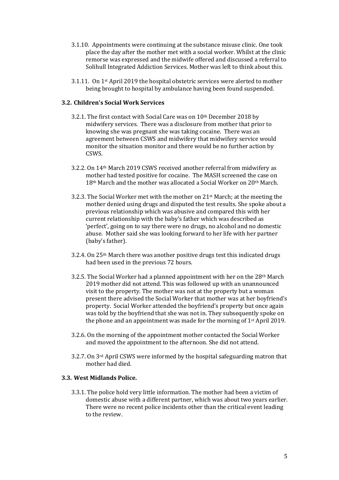- 3.1.10. Appointments were continuing at the substance misuse clinic. One took place the day after the mother met with a social worker. Whilst at the clinic remorse was expressed and the midwife offered and discussed a referral to Solihull Integrated Addiction Services. Mother was left to think about this.
- 3.1.11. On 1st April 2019 the hospital obstetric services were alerted to mother being brought to hospital by ambulance having been found suspended.

#### **3.2. Children's Social Work Services**

- 3.2.1. The first contact with Social Care was on 10<sup>th</sup> December 2018 by midwifery services. There was a disclosure from mother that prior to knowing she was pregnant she was taking cocaine. There was an agreement between CSWS and midwifery that midwifery service would monitor the situation monitor and there would be no further action by CSWS.
- 3.2.2. On 14th March 2019 CSWS received another referral from midwifery as mother had tested positive for cocaine. The MASH screened the case on 18th March and the mother was allocated a Social Worker on 20th March.
- 3.2.3. The Social Worker met with the mother on 21st March; at the meeting the mother denied using drugs and disputed the test results. She spoke about a previous relationship which was abusive and compared this with her current relationship with the baby's father which was described as 'perfect', going on to say there were no drugs, no alcohol and no domestic abuse. Mother said she was looking forward to her life with her partner (baby's father).
- 3.2.4. On 25th March there was another positive drugs test this indicated drugs had been used in the previous 72 hours.
- 3.2.5. The Social Worker had a planned appointment with her on the 28th March 2019 mother did not attend. This was followed up with an unannounced visit to the property. The mother was not at the property but a woman present there advised the Social Worker that mother was at her boyfriend's property. Social Worker attended the boyfriend's property but once again was told by the boyfriend that she was not in. They subsequently spoke on the phone and an appointment was made for the morning of 1st April 2019.
- 3.2.6. On the morning of the appointment mother contacted the Social Worker and moved the appointment to the afternoon. She did not attend.
- 3.2.7. On 3rd April CSWS were informed by the hospital safeguarding matron that mother had died.

#### **3.3. West Midlands Police.**

3.3.1. The police hold very little information. The mother had been a victim of domestic abuse with a different partner, which was about two years earlier. There were no recent police incidents other than the critical event leading to the review.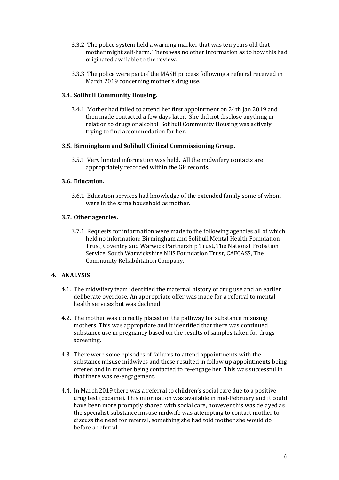- 3.3.2. The police system held a warning marker that was ten years old that mother might self-harm. There was no other information as to how this had originated available to the review.
- 3.3.3. The police were part of the MASH process following a referral received in March 2019 concerning mother's drug use.

## **3.4. Solihull Community Housing.**

3.4.1. Mother had failed to attend her first appointment on 24th Jan 2019 and then made contacted a few days later. She did not disclose anything in relation to drugs or alcohol. Solihull Community Housing was actively trying to find accommodation for her.

## **3.5. Birmingham and Solihull Clinical Commissioning Group.**

3.5.1. Very limited information was held. All the midwifery contacts are appropriately recorded within the GP records.

#### **3.6. Education.**

3.6.1. Education services had knowledge of the extended family some of whom were in the same household as mother.

## **3.7. Other agencies.**

3.7.1. Requests for information were made to the following agencies all of which held no information: Birmingham and Solihull Mental Health Foundation Trust, Coventry and Warwick Partnership Trust, The National Probation Service, South Warwickshire NHS Foundation Trust, CAFCASS, The Community Rehabilitation Company.

## **4. ANALYSIS**

- 4.1. The midwifery team identified the maternal history of drug use and an earlier deliberate overdose. An appropriate offer was made for a referral to mental health services but was declined.
- 4.2. The mother was correctly placed on the pathway for substance misusing mothers. This was appropriate and it identified that there was continued substance use in pregnancy based on the results of samples taken for drugs screening.
- 4.3. There were some episodes of failures to attend appointments with the substance misuse midwives and these resulted in follow up appointments being offered and in mother being contacted to re-engage her. This was successful in that there was re-engagement.
- 4.4. In March 2019 there was a referral to children's social care due to a positive drug test (cocaine). This information was available in mid-February and it could have been more promptly shared with social care, however this was delayed as the specialist substance misuse midwife was attempting to contact mother to discuss the need for referral, something she had told mother she would do before a referral.